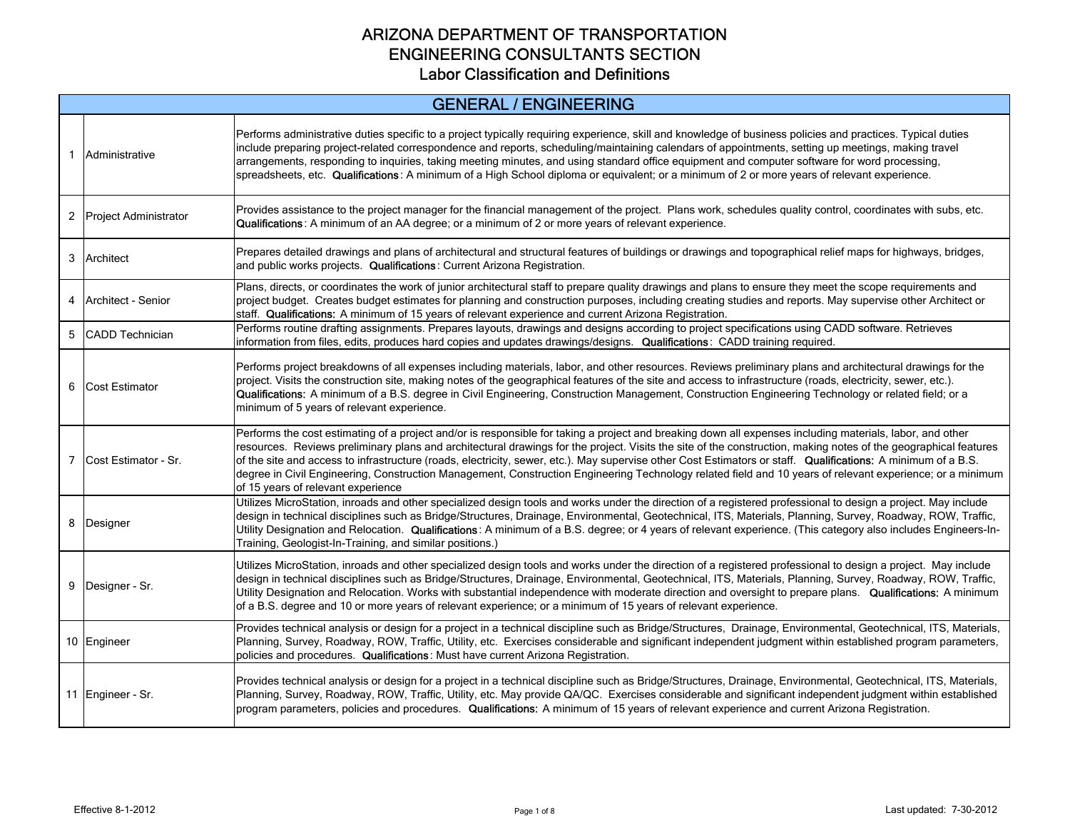| <b>GENERAL / ENGINEERING</b> |                                                                                                                                                                                                                                                                                                                                                                                                                                                                                                                                                                                                                                                                                                  |  |
|------------------------------|--------------------------------------------------------------------------------------------------------------------------------------------------------------------------------------------------------------------------------------------------------------------------------------------------------------------------------------------------------------------------------------------------------------------------------------------------------------------------------------------------------------------------------------------------------------------------------------------------------------------------------------------------------------------------------------------------|--|
| 1 Administrative             | Performs administrative duties specific to a project typically requiring experience, skill and knowledge of business policies and practices. Typical duties<br>include preparing project-related correspondence and reports, scheduling/maintaining calendars of appointments, setting up meetings, making travel<br>arrangements, responding to inquiries, taking meeting minutes, and using standard office equipment and computer software for word processing,<br>spreadsheets, etc. Qualifications: A minimum of a High School diploma or equivalent; or a minimum of 2 or more years of relevant experience.                                                                               |  |
| 2 Project Administrator      | Provides assistance to the project manager for the financial management of the project. Plans work, schedules quality control, coordinates with subs, etc.<br>Qualifications: A minimum of an AA degree; or a minimum of 2 or more years of relevant experience.                                                                                                                                                                                                                                                                                                                                                                                                                                 |  |
| 3 Architect                  | Prepares detailed drawings and plans of architectural and structural features of buildings or drawings and topographical relief maps for highways, bridges,<br>and public works projects. Qualifications: Current Arizona Registration.                                                                                                                                                                                                                                                                                                                                                                                                                                                          |  |
| 4 Architect - Senior         | Plans, directs, or coordinates the work of junior architectural staff to prepare quality drawings and plans to ensure they meet the scope requirements and<br>project budget. Creates budget estimates for planning and construction purposes, including creating studies and reports. May supervise other Architect or<br>staff. Qualifications: A minimum of 15 years of relevant experience and current Arizona Registration.                                                                                                                                                                                                                                                                 |  |
| 5 CADD Technician            | Performs routine drafting assignments. Prepares layouts, drawings and designs according to project specifications using CADD software. Retrieves<br>information from files, edits, produces hard copies and updates drawings/designs. Qualifications: CADD training required.                                                                                                                                                                                                                                                                                                                                                                                                                    |  |
| 6 Cost Estimator             | Performs project breakdowns of all expenses including materials, labor, and other resources. Reviews preliminary plans and architectural drawings for the<br>project. Visits the construction site, making notes of the geographical features of the site and access to infrastructure (roads, electricity, sewer, etc.).<br>Qualifications: A minimum of a B.S. degree in Civil Engineering, Construction Management, Construction Engineering Technology or related field; or a<br>minimum of 5 years of relevant experience.                                                                                                                                                                  |  |
| 7 Cost Estimator - Sr.       | Performs the cost estimating of a project and/or is responsible for taking a project and breaking down all expenses including materials, labor, and other<br>resources. Reviews preliminary plans and architectural drawings for the project. Visits the site of the construction, making notes of the geographical features<br>of the site and access to infrastructure (roads, electricity, sewer, etc.). May supervise other Cost Estimators or staff. Qualifications: A minimum of a B.S.<br>degree in Civil Engineering, Construction Management, Construction Engineering Technology related field and 10 years of relevant experience; or a minimum<br>of 15 years of relevant experience |  |
| 8 Designer                   | Utilizes MicroStation, inroads and other specialized design tools and works under the direction of a registered professional to design a project. May include<br>design in technical disciplines such as Bridge/Structures, Drainage, Environmental, Geotechnical, ITS, Materials, Planning, Survey, Roadway, ROW, Traffic,<br>Utility Designation and Relocation. Qualifications: A minimum of a B.S. degree; or 4 years of relevant experience. (This category also includes Engineers-In-<br>Training, Geologist-In-Training, and similar positions.)                                                                                                                                         |  |
| 9 Designer - Sr.             | Utilizes MicroStation, inroads and other specialized design tools and works under the direction of a registered professional to design a project. May include<br>design in technical disciplines such as Bridge/Structures, Drainage, Environmental, Geotechnical, ITS, Materials, Planning, Survey, Roadway, ROW, Traffic,<br>Utility Designation and Relocation. Works with substantial independence with moderate direction and oversight to prepare plans. Qualifications: A minimum<br>of a B.S. degree and 10 or more years of relevant experience; or a minimum of 15 years of relevant experience.                                                                                       |  |
| 10 Engineer                  | Provides technical analysis or design for a project in a technical discipline such as Bridge/Structures, Drainage, Environmental, Geotechnical, ITS, Materials,<br>Planning, Survey, Roadway, ROW, Traffic, Utility, etc. Exercises considerable and significant independent judgment within established program parameters,<br>policies and procedures. Qualifications: Must have current Arizona Registration.                                                                                                                                                                                                                                                                                 |  |
| 11 Engineer - Sr.            | Provides technical analysis or design for a project in a technical discipline such as Bridge/Structures, Drainage, Environmental, Geotechnical, ITS, Materials,<br>Planning, Survey, Roadway, ROW, Traffic, Utility, etc. May provide QA/QC. Exercises considerable and significant independent judgment within established<br>program parameters, policies and procedures. Qualifications: A minimum of 15 years of relevant experience and current Arizona Registration.                                                                                                                                                                                                                       |  |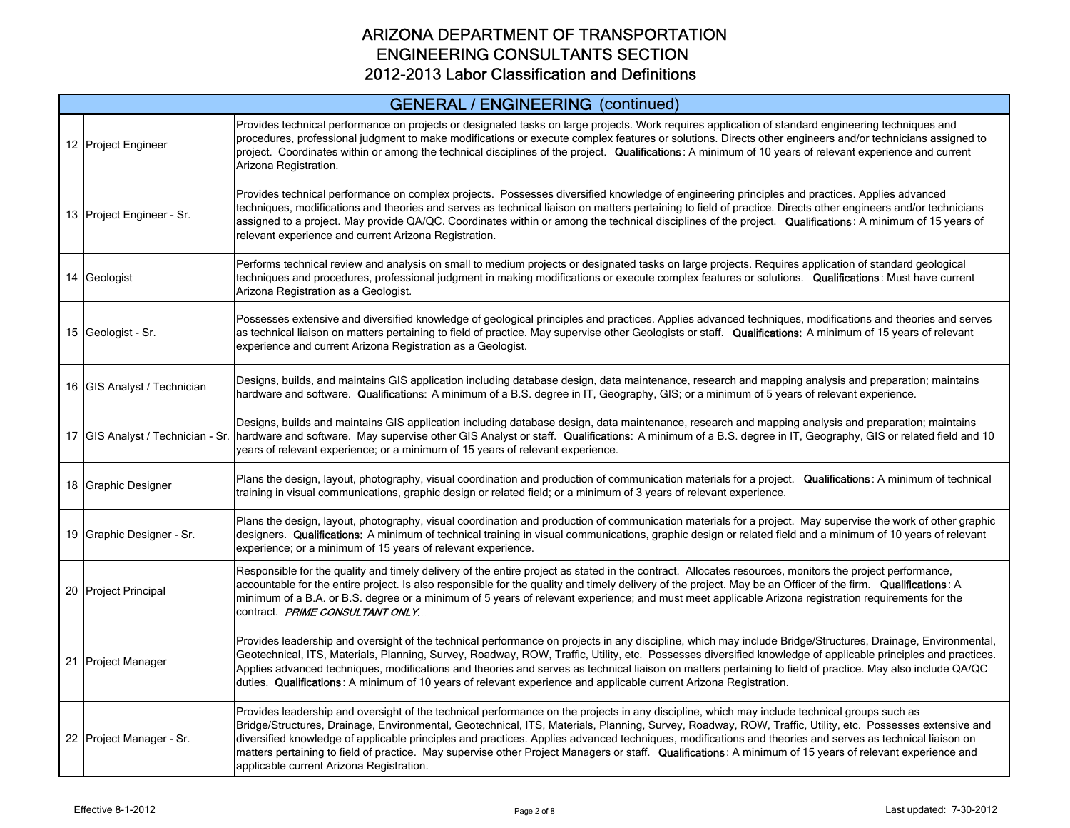#### GENERAL / ENGINEERING (continued)

| 12 Project Engineer         | Provides technical performance on projects or designated tasks on large projects. Work requires application of standard engineering techniques and<br>procedures, professional judgment to make modifications or execute complex features or solutions. Directs other engineers and/or technicians assigned to<br>project. Coordinates within or among the technical disciplines of the project. Qualifications: A minimum of 10 years of relevant experience and current<br>Arizona Registration.                                                                                                                                                                           |
|-----------------------------|------------------------------------------------------------------------------------------------------------------------------------------------------------------------------------------------------------------------------------------------------------------------------------------------------------------------------------------------------------------------------------------------------------------------------------------------------------------------------------------------------------------------------------------------------------------------------------------------------------------------------------------------------------------------------|
| 13 Project Engineer - Sr.   | Provides technical performance on complex projects. Possesses diversified knowledge of engineering principles and practices. Applies advanced<br>techniques, modifications and theories and serves as technical liaison on matters pertaining to field of practice. Directs other engineers and/or technicians<br>assigned to a project. May provide QA/QC. Coordinates within or among the technical disciplines of the project. Qualifications: A minimum of 15 years of<br>relevant experience and current Arizona Registration.                                                                                                                                          |
| 14 Geologist                | Performs technical review and analysis on small to medium projects or designated tasks on large projects. Requires application of standard geological<br>techniques and procedures, professional judgment in making modifications or execute complex features or solutions. Qualifications: Must have current<br>Arizona Registration as a Geologist.                                                                                                                                                                                                                                                                                                                        |
| 15 Geologist - Sr.          | Possesses extensive and diversified knowledge of geological principles and practices. Applies advanced techniques, modifications and theories and serves<br>as technical liaison on matters pertaining to field of practice. May supervise other Geologists or staff. Qualifications: A minimum of 15 years of relevant<br>experience and current Arizona Registration as a Geologist.                                                                                                                                                                                                                                                                                       |
| 16 GIS Analyst / Technician | Designs, builds, and maintains GIS application including database design, data maintenance, research and mapping analysis and preparation; maintains<br>hardware and software. Qualifications: A minimum of a B.S. degree in IT, Geography, GIS; or a minimum of 5 years of relevant experience.                                                                                                                                                                                                                                                                                                                                                                             |
|                             | Designs, builds and maintains GIS application including database design, data maintenance, research and mapping analysis and preparation; maintains<br>17 GIS Analyst / Technician - Sr. hardware and software. May supervise other GIS Analyst or staff. Qualifications: A minimum of a B.S. degree in IT, Geography, GIS or related field and 10<br>years of relevant experience; or a minimum of 15 years of relevant experience.                                                                                                                                                                                                                                         |
| 18 Graphic Designer         | Plans the design, layout, photography, visual coordination and production of communication materials for a project. Qualifications: A minimum of technical<br>training in visual communications, graphic design or related field; or a minimum of 3 years of relevant experience.                                                                                                                                                                                                                                                                                                                                                                                            |
| 19 Graphic Designer - Sr.   | Plans the design, layout, photography, visual coordination and production of communication materials for a project. May supervise the work of other graphic<br>designers. Qualifications: A minimum of technical training in visual communications, graphic design or related field and a minimum of 10 years of relevant<br>experience; or a minimum of 15 years of relevant experience.                                                                                                                                                                                                                                                                                    |
| 20 Project Principal        | Responsible for the quality and timely delivery of the entire project as stated in the contract. Allocates resources, monitors the project performance,<br>accountable for the entire project. Is also responsible for the quality and timely delivery of the project. May be an Officer of the firm. Qualifications: A<br>minimum of a B.A. or B.S. degree or a minimum of 5 years of relevant experience; and must meet applicable Arizona registration requirements for the<br>contract. PRIME CONSULTANT ONLY.                                                                                                                                                           |
| 21 Project Manager          | Provides leadership and oversight of the technical performance on projects in any discipline, which may include Bridge/Structures, Drainage, Environmental,<br>Geotechnical, ITS, Materials, Planning, Survey, Roadway, ROW, Traffic, Utility, etc. Possesses diversified knowledge of applicable principles and practices.<br>Applies advanced techniques, modifications and theories and serves as technical liaison on matters pertaining to field of practice. May also include QA/QC<br>duties. Qualifications: A minimum of 10 years of relevant experience and applicable current Arizona Registration.                                                               |
| 22 Project Manager - Sr.    | Provides leadership and oversight of the technical performance on the projects in any discipline, which may include technical groups such as<br>Bridge/Structures, Drainage, Environmental, Geotechnical, ITS, Materials, Planning, Survey, Roadway, ROW, Traffic, Utility, etc. Possesses extensive and<br>diversified knowledge of applicable principles and practices. Applies advanced techniques, modifications and theories and serves as technical liaison on<br>matters pertaining to field of practice. May supervise other Project Managers or staff. Qualifications: A minimum of 15 years of relevant experience and<br>applicable current Arizona Registration. |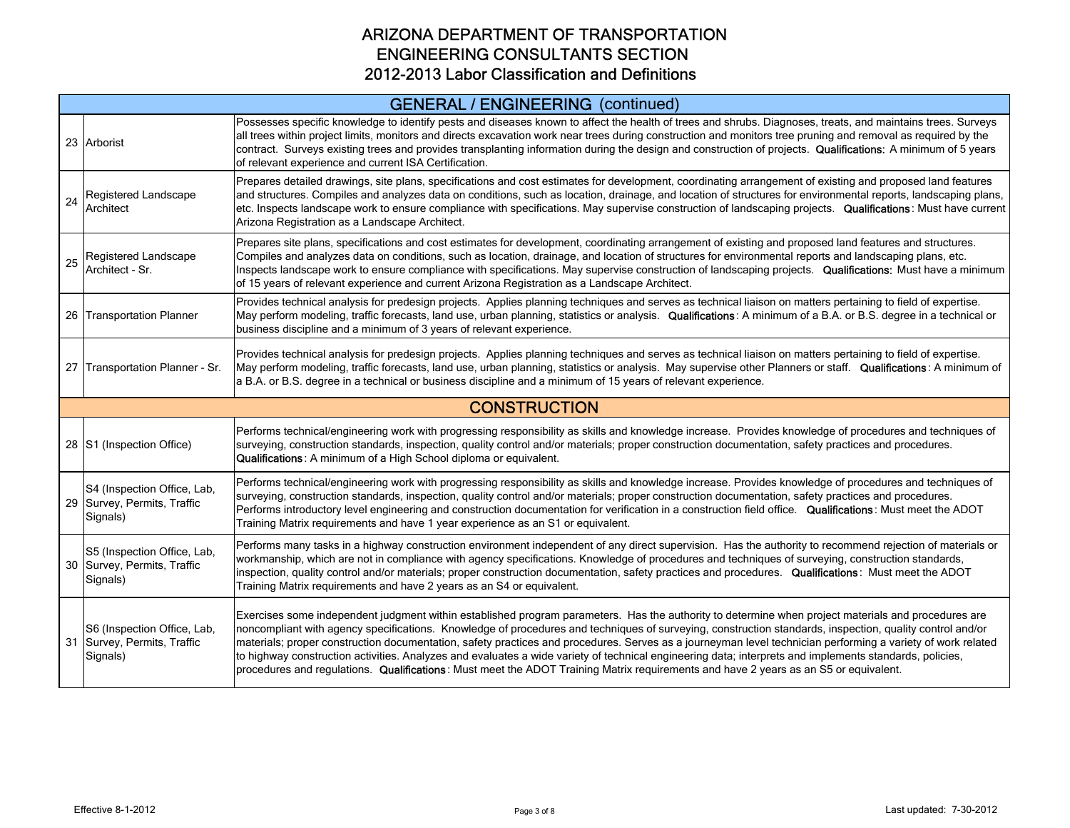# GENERAL / ENGINEERING (continued)

|    | 23 Arborist                                                            | Possesses specific knowledge to identify pests and diseases known to affect the health of trees and shrubs. Diagnoses, treats, and maintains trees. Surveys<br>all trees within project limits, monitors and directs excavation work near trees during construction and monitors tree pruning and removal as required by the<br>contract. Surveys existing trees and provides transplanting information during the design and construction of projects. Qualifications: A minimum of 5 years<br>of relevant experience and current ISA Certification.                                                                                                                                                                                                                             |  |
|----|------------------------------------------------------------------------|-----------------------------------------------------------------------------------------------------------------------------------------------------------------------------------------------------------------------------------------------------------------------------------------------------------------------------------------------------------------------------------------------------------------------------------------------------------------------------------------------------------------------------------------------------------------------------------------------------------------------------------------------------------------------------------------------------------------------------------------------------------------------------------|--|
| 24 | Registered Landscape<br>Architect                                      | Prepares detailed drawings, site plans, specifications and cost estimates for development, coordinating arrangement of existing and proposed land features<br>and structures. Compiles and analyzes data on conditions, such as location, drainage, and location of structures for environmental reports, landscaping plans,<br>etc. Inspects landscape work to ensure compliance with specifications. May supervise construction of landscaping projects. Qualifications: Must have current<br>Arizona Registration as a Landscape Architect.                                                                                                                                                                                                                                    |  |
| 25 | Registered Landscape<br>Architect - Sr.                                | Prepares site plans, specifications and cost estimates for development, coordinating arrangement of existing and proposed land features and structures.<br>Compiles and analyzes data on conditions, such as location, drainage, and location of structures for environmental reports and landscaping plans, etc.<br>Inspects landscape work to ensure compliance with specifications. May supervise construction of landscaping projects. Qualifications: Must have a minimum<br>of 15 years of relevant experience and current Arizona Registration as a Landscape Architect.                                                                                                                                                                                                   |  |
|    | 26 Transportation Planner                                              | Provides technical analysis for predesign projects. Applies planning techniques and serves as technical liaison on matters pertaining to field of expertise.<br>May perform modeling, traffic forecasts, land use, urban planning, statistics or analysis. Qualifications: A minimum of a B.A. or B.S. degree in a technical or<br>business discipline and a minimum of 3 years of relevant experience.                                                                                                                                                                                                                                                                                                                                                                           |  |
|    | 27 Transportation Planner - Sr.                                        | Provides technical analysis for predesign projects. Applies planning techniques and serves as technical liaison on matters pertaining to field of expertise.<br>May perform modeling, traffic forecasts, land use, urban planning, statistics or analysis. May supervise other Planners or staff. Qualifications: A minimum of<br>a B.A. or B.S. degree in a technical or business discipline and a minimum of 15 years of relevant experience.                                                                                                                                                                                                                                                                                                                                   |  |
|    |                                                                        | <b>CONSTRUCTION</b>                                                                                                                                                                                                                                                                                                                                                                                                                                                                                                                                                                                                                                                                                                                                                               |  |
|    | 28 S1 (Inspection Office)                                              | Performs technical/engineering work with progressing responsibility as skills and knowledge increase. Provides knowledge of procedures and techniques of<br>surveying, construction standards, inspection, quality control and/or materials; proper construction documentation, safety practices and procedures.<br>Qualifications: A minimum of a High School diploma or equivalent.                                                                                                                                                                                                                                                                                                                                                                                             |  |
|    | S4 (Inspection Office, Lab,<br>29 Survey, Permits, Traffic<br>Signals) | Performs technical/engineering work with progressing responsibility as skills and knowledge increase. Provides knowledge of procedures and techniques of<br>surveying, construction standards, inspection, quality control and/or materials; proper construction documentation, safety practices and procedures.<br>Performs introductory level engineering and construction documentation for verification in a construction field office. Qualifications: Must meet the ADOT<br>Training Matrix requirements and have 1 year experience as an S1 or equivalent.                                                                                                                                                                                                                 |  |
|    | S5 (Inspection Office, Lab,<br>30 Survey, Permits, Traffic<br>Signals) | Performs many tasks in a highway construction environment independent of any direct supervision. Has the authority to recommend rejection of materials or<br>workmanship, which are not in compliance with agency specifications. Knowledge of procedures and techniques of surveying, construction standards,<br>inspection, quality control and/or materials; proper construction documentation, safety practices and procedures. Qualifications: Must meet the ADOT<br>Training Matrix requirements and have 2 years as an S4 or equivalent.                                                                                                                                                                                                                                   |  |
|    | S6 (Inspection Office, Lab,<br>31 Survey, Permits, Traffic<br>Signals) | Exercises some independent judgment within established program parameters. Has the authority to determine when project materials and procedures are<br>noncompliant with agency specifications. Knowledge of procedures and techniques of surveying, construction standards, inspection, quality control and/or<br>materials; proper construction documentation, safety practices and procedures. Serves as a journeyman level technician performing a variety of work related<br>to highway construction activities. Analyzes and evaluates a wide variety of technical engineering data; interprets and implements standards, policies,<br>procedures and regulations. Qualifications: Must meet the ADOT Training Matrix requirements and have 2 years as an S5 or equivalent. |  |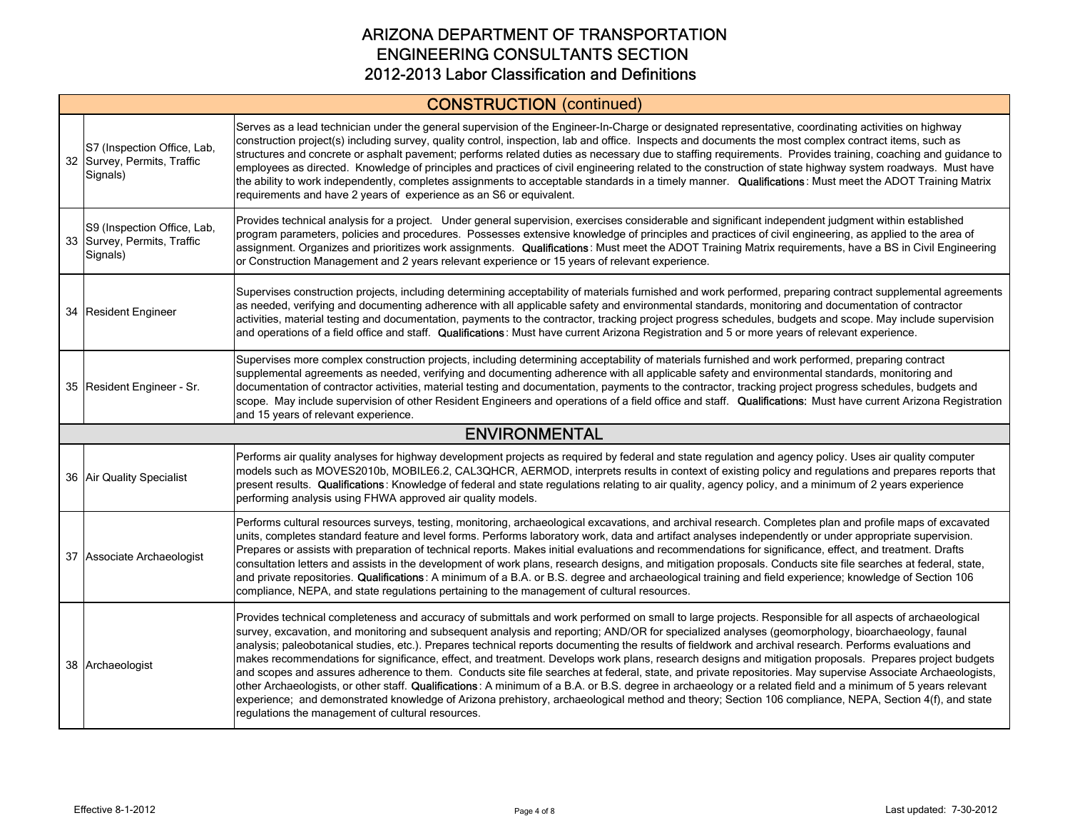# CONSTRUCTION (continued)

| S7 (Inspection Office, Lab,<br>32 Survey, Permits, Traffic<br>Signals) | Serves as a lead technician under the general supervision of the Engineer-In-Charge or designated representative, coordinating activities on highway<br>construction project(s) including survey, quality control, inspection, lab and office. Inspects and documents the most complex contract items, such as<br>structures and concrete or asphalt pavement; performs related duties as necessary due to staffing requirements. Provides training, coaching and guidance to<br>employees as directed. Knowledge of principles and practices of civil engineering related to the construction of state highway system roadways. Must have<br>the ability to work independently, completes assignments to acceptable standards in a timely manner. Qualifications: Must meet the ADOT Training Matrix<br>requirements and have 2 years of experience as an S6 or equivalent.                                                                                                                                                                                                                                                                                                   |
|------------------------------------------------------------------------|--------------------------------------------------------------------------------------------------------------------------------------------------------------------------------------------------------------------------------------------------------------------------------------------------------------------------------------------------------------------------------------------------------------------------------------------------------------------------------------------------------------------------------------------------------------------------------------------------------------------------------------------------------------------------------------------------------------------------------------------------------------------------------------------------------------------------------------------------------------------------------------------------------------------------------------------------------------------------------------------------------------------------------------------------------------------------------------------------------------------------------------------------------------------------------|
| S9 (Inspection Office, Lab,<br>33 Survey, Permits, Traffic<br>Signals) | Provides technical analysis for a project. Under general supervision, exercises considerable and significant independent judgment within established<br>program parameters, policies and procedures. Possesses extensive knowledge of principles and practices of civil engineering, as applied to the area of<br>assignment. Organizes and prioritizes work assignments. Qualifications: Must meet the ADOT Training Matrix requirements, have a BS in Civil Engineering<br>or Construction Management and 2 years relevant experience or 15 years of relevant experience.                                                                                                                                                                                                                                                                                                                                                                                                                                                                                                                                                                                                    |
| 34 Resident Engineer                                                   | Supervises construction projects, including determining acceptability of materials furnished and work performed, preparing contract supplemental agreements<br>as needed, verifying and documenting adherence with all applicable safety and environmental standards, monitoring and documentation of contractor<br>activities, material testing and documentation, payments to the contractor, tracking project progress schedules, budgets and scope. May include supervision<br>and operations of a field office and staff. Qualifications: Must have current Arizona Registration and 5 or more years of relevant experience.                                                                                                                                                                                                                                                                                                                                                                                                                                                                                                                                              |
| 35 Resident Engineer - Sr.                                             | Supervises more complex construction projects, including determining acceptability of materials furnished and work performed, preparing contract<br>supplemental agreements as needed, verifying and documenting adherence with all applicable safety and environmental standards, monitoring and<br>documentation of contractor activities, material testing and documentation, payments to the contractor, tracking project progress schedules, budgets and<br>scope. May include supervision of other Resident Engineers and operations of a field office and staff. Qualifications: Must have current Arizona Registration<br>and 15 years of relevant experience.                                                                                                                                                                                                                                                                                                                                                                                                                                                                                                         |
|                                                                        | <b>ENVIRONMENTAL</b>                                                                                                                                                                                                                                                                                                                                                                                                                                                                                                                                                                                                                                                                                                                                                                                                                                                                                                                                                                                                                                                                                                                                                           |
| 36 Air Quality Specialist                                              | Performs air quality analyses for highway development projects as required by federal and state regulation and agency policy. Uses air quality computer<br>models such as MOVES2010b, MOBILE6.2, CAL3QHCR, AERMOD, interprets results in context of existing policy and regulations and prepares reports that<br>present results. Qualifications: Knowledge of federal and state regulations relating to air quality, agency policy, and a minimum of 2 years experience<br>performing analysis using FHWA approved air quality models.                                                                                                                                                                                                                                                                                                                                                                                                                                                                                                                                                                                                                                        |
| 37 Associate Archaeologist                                             | Performs cultural resources surveys, testing, monitoring, archaeological excavations, and archival research. Completes plan and profile maps of excavated<br>units, completes standard feature and level forms. Performs laboratory work, data and artifact analyses independently or under appropriate supervision.<br>Prepares or assists with preparation of technical reports. Makes initial evaluations and recommendations for significance, effect, and treatment. Drafts<br>consultation letters and assists in the development of work plans, research designs, and mitigation proposals. Conducts site file searches at federal, state,<br>and private repositories. Qualifications: A minimum of a B.A. or B.S. degree and archaeological training and field experience; knowledge of Section 106<br>compliance, NEPA, and state requlations pertaining to the management of cultural resources.                                                                                                                                                                                                                                                                    |
| 38 Archaeologist                                                       | Provides technical completeness and accuracy of submittals and work performed on small to large projects. Responsible for all aspects of archaeological<br>survey, excavation, and monitoring and subsequent analysis and reporting; AND/OR for specialized analyses (geomorphology, bioarchaeology, faunal<br>analysis; paleobotanical studies, etc.). Prepares technical reports documenting the results of fieldwork and archival research. Performs evaluations and<br>makes recommendations for significance, effect, and treatment. Develops work plans, research designs and mitigation proposals. Prepares project budgets<br>and scopes and assures adherence to them. Conducts site file searches at federal, state, and private repositories. May supervise Associate Archaeologists,<br>other Archaeologists, or other staff. Qualifications: A minimum of a B.A. or B.S. degree in archaeology or a related field and a minimum of 5 years relevant<br>experience; and demonstrated knowledge of Arizona prehistory, archaeological method and theory; Section 106 compliance, NEPA, Section 4(f), and state<br>regulations the management of cultural resources. |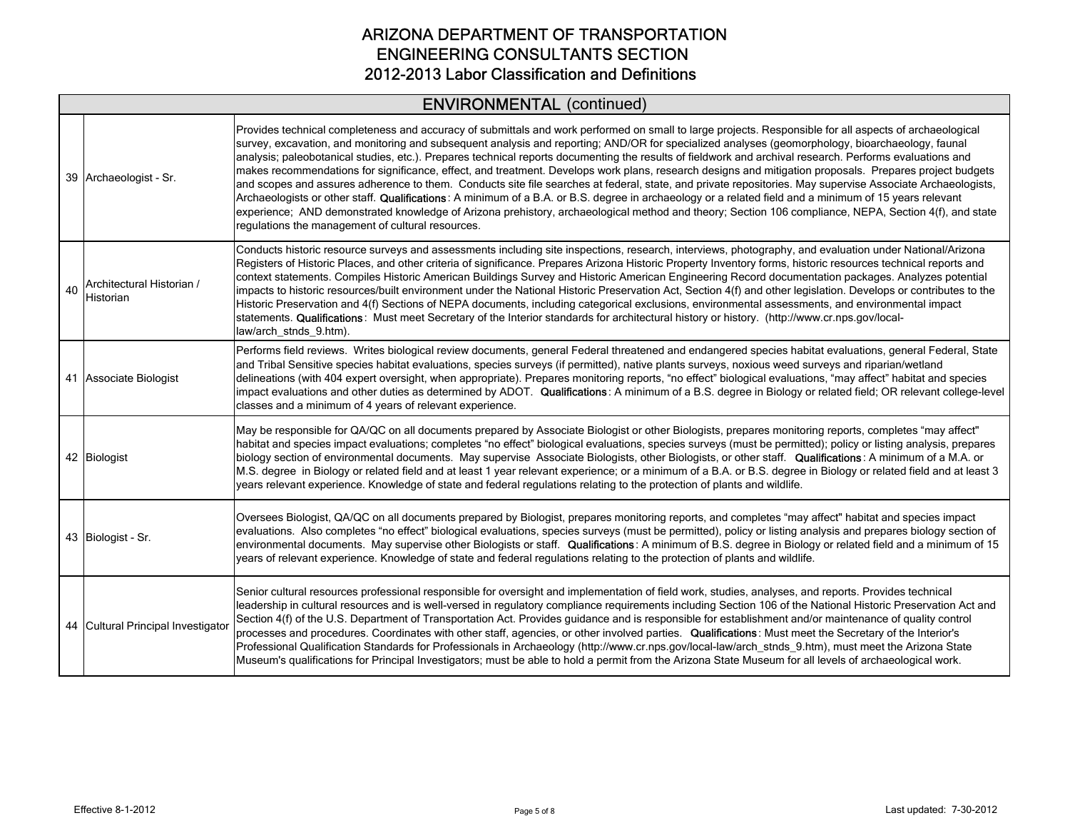# ENVIRONMENTAL (continued)

|    | 39 Archaeologist - Sr.                 | Provides technical completeness and accuracy of submittals and work performed on small to large projects. Responsible for all aspects of archaeological<br>survey, excavation, and monitoring and subsequent analysis and reporting; AND/OR for specialized analyses (geomorphology, bioarchaeology, faunal<br>analysis; paleobotanical studies, etc.). Prepares technical reports documenting the results of fieldwork and archival research. Performs evaluations and<br>makes recommendations for significance, effect, and treatment. Develops work plans, research designs and mitigation proposals. Prepares project budgets<br>and scopes and assures adherence to them. Conducts site file searches at federal, state, and private repositories. May supervise Associate Archaeologists,<br>Archaeologists or other staff. Qualifications: A minimum of a B.A. or B.S. degree in archaeology or a related field and a minimum of 15 years relevant<br>experience; AND demonstrated knowledge of Arizona prehistory, archaeological method and theory; Section 106 compliance, NEPA, Section 4(f), and state<br>regulations the management of cultural resources. |
|----|----------------------------------------|--------------------------------------------------------------------------------------------------------------------------------------------------------------------------------------------------------------------------------------------------------------------------------------------------------------------------------------------------------------------------------------------------------------------------------------------------------------------------------------------------------------------------------------------------------------------------------------------------------------------------------------------------------------------------------------------------------------------------------------------------------------------------------------------------------------------------------------------------------------------------------------------------------------------------------------------------------------------------------------------------------------------------------------------------------------------------------------------------------------------------------------------------------------------------|
| 40 | Architectural Historian /<br>Historian | Conducts historic resource surveys and assessments including site inspections, research, interviews, photography, and evaluation under National/Arizona<br>Registers of Historic Places, and other criteria of significance. Prepares Arizona Historic Property Inventory forms, historic resources technical reports and<br>context statements. Compiles Historic American Buildings Survey and Historic American Engineering Record documentation packages. Analyzes potential<br>impacts to historic resources/built environment under the National Historic Preservation Act, Section 4(f) and other legislation. Develops or contributes to the<br>Historic Preservation and 4(f) Sections of NEPA documents, including categorical exclusions, environmental assessments, and environmental impact<br>statements. Qualifications: Must meet Secretary of the Interior standards for architectural history or history. (http://www.cr.nps.gov/local-<br>law/arch stnds 9.htm).                                                                                                                                                                                      |
|    | 41 Associate Biologist                 | Performs field reviews. Writes biological review documents, general Federal threatened and endangered species habitat evaluations, general Federal, State<br>and Tribal Sensitive species habitat evaluations, species surveys (if permitted), native plants surveys, noxious weed surveys and riparian/wetland<br>delineations (with 404 expert oversight, when appropriate). Prepares monitoring reports, "no effect" biological evaluations, "may affect" habitat and species<br>impact evaluations and other duties as determined by ADOT. Qualifications: A minimum of a B.S. degree in Biology or related field; OR relevant college-level<br>classes and a minimum of 4 years of relevant experience.                                                                                                                                                                                                                                                                                                                                                                                                                                                             |
|    | 42 Biologist                           | May be responsible for QA/QC on all documents prepared by Associate Biologist or other Biologists, prepares monitoring reports, completes "may affect"<br>habitat and species impact evaluations; completes "no effect" biological evaluations, species surveys (must be permitted); policy or listing analysis, prepares<br>biology section of environmental documents. May supervise Associate Biologists, other Biologists, or other staff. Qualifications: A minimum of a M.A. or<br>M.S. degree in Biology or related field and at least 1 year relevant experience; or a minimum of a B.A. or B.S. degree in Biology or related field and at least 3<br>years relevant experience. Knowledge of state and federal regulations relating to the protection of plants and wildlife.                                                                                                                                                                                                                                                                                                                                                                                   |
|    | 43 Biologist - Sr.                     | Oversees Biologist, QA/QC on all documents prepared by Biologist, prepares monitoring reports, and completes "may affect" habitat and species impact<br>evaluations. Also completes "no effect" biological evaluations, species surveys (must be permitted), policy or listing analysis and prepares biology section of<br>environmental documents. May supervise other Biologists or staff. Qualifications: A minimum of B.S. degree in Biology or related field and a minimum of 15<br>years of relevant experience. Knowledge of state and federal regulations relating to the protection of plants and wildlife.                                                                                                                                                                                                                                                                                                                                                                                                                                                                                                                                                     |
|    | 44 Cultural Principal Investigator     | Senior cultural resources professional responsible for oversight and implementation of field work, studies, analyses, and reports. Provides technical<br>leadership in cultural resources and is well-versed in regulatory compliance requirements including Section 106 of the National Historic Preservation Act and<br>Section 4(f) of the U.S. Department of Transportation Act. Provides guidance and is responsible for establishment and/or maintenance of quality control<br>processes and procedures. Coordinates with other staff, agencies, or other involved parties. Qualifications: Must meet the Secretary of the Interior's<br>Professional Qualification Standards for Professionals in Archaeology (http://www.cr.nps.gov/local-law/arch_stnds_9.htm), must meet the Arizona State<br>Museum's qualifications for Principal Investigators; must be able to hold a permit from the Arizona State Museum for all levels of archaeological work.                                                                                                                                                                                                          |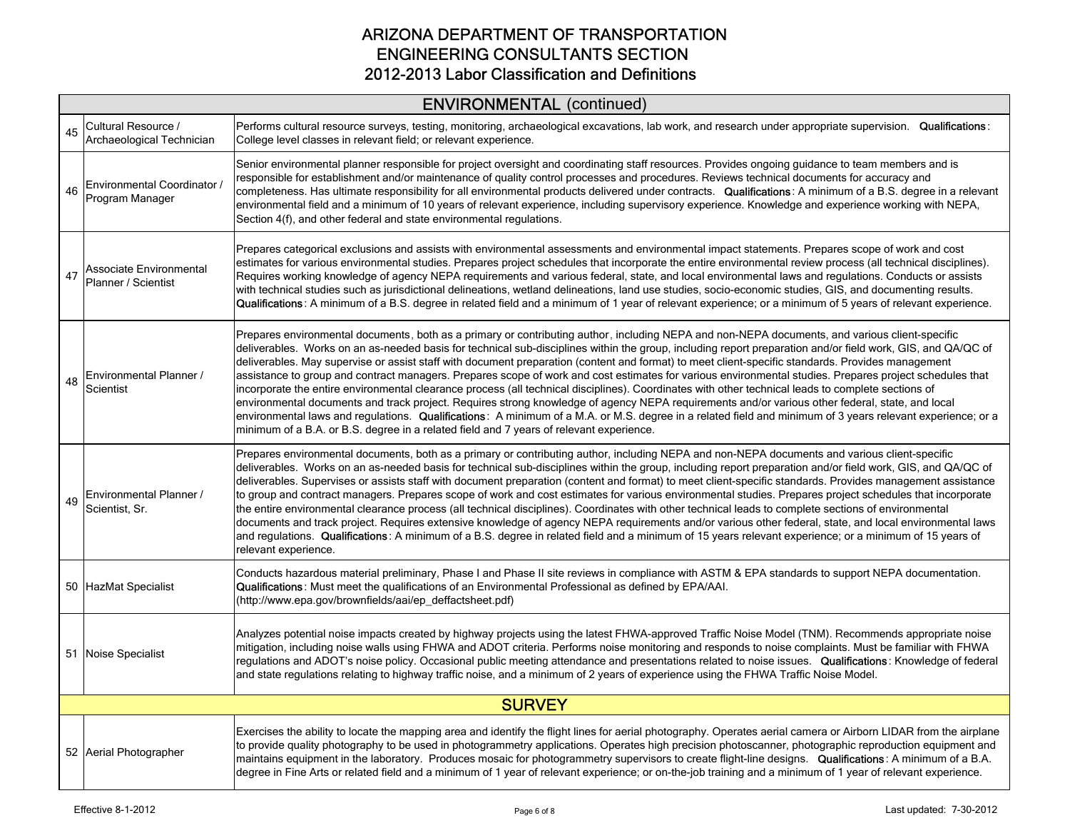|    | <b>ENVIRONMENTAL (continued)</b>                 |                                                                                                                                                                                                                                                                                                                                                                                                                                                                                                                                                                                                                                                                                                                                                                                                                                                                                                                                                                                                                                                                                                                                                                                                 |  |
|----|--------------------------------------------------|-------------------------------------------------------------------------------------------------------------------------------------------------------------------------------------------------------------------------------------------------------------------------------------------------------------------------------------------------------------------------------------------------------------------------------------------------------------------------------------------------------------------------------------------------------------------------------------------------------------------------------------------------------------------------------------------------------------------------------------------------------------------------------------------------------------------------------------------------------------------------------------------------------------------------------------------------------------------------------------------------------------------------------------------------------------------------------------------------------------------------------------------------------------------------------------------------|--|
| 45 | Cultural Resource /<br>Archaeological Technician | Performs cultural resource surveys, testing, monitoring, archaeological excavations, lab work, and research under appropriate supervision. Qualifications:<br>College level classes in relevant field; or relevant experience.                                                                                                                                                                                                                                                                                                                                                                                                                                                                                                                                                                                                                                                                                                                                                                                                                                                                                                                                                                  |  |
| 46 | Environmental Coordinator /<br>Program Manager   | Senior environmental planner responsible for project oversight and coordinating staff resources. Provides ongoing guidance to team members and is<br>responsible for establishment and/or maintenance of quality control processes and procedures. Reviews technical documents for accuracy and<br>completeness. Has ultimate responsibility for all environmental products delivered under contracts. Qualifications: A minimum of a B.S. degree in a relevant<br>environmental field and a minimum of 10 years of relevant experience, including supervisory experience. Knowledge and experience working with NEPA,<br>Section 4(f), and other federal and state environmental regulations.                                                                                                                                                                                                                                                                                                                                                                                                                                                                                                  |  |
| 47 | Associate Environmental<br>Planner / Scientist   | Prepares categorical exclusions and assists with environmental assessments and environmental impact statements. Prepares scope of work and cost<br>estimates for various environmental studies. Prepares project schedules that incorporate the entire environmental review process (all technical disciplines).<br>Requires working knowledge of agency NEPA requirements and various federal, state, and local environmental laws and regulations. Conducts or assists<br>with technical studies such as jurisdictional delineations, wetland delineations, land use studies, socio-economic studies, GIS, and documenting results.<br>Qualifications: A minimum of a B.S. degree in related field and a minimum of 1 year of relevant experience; or a minimum of 5 years of relevant experience.                                                                                                                                                                                                                                                                                                                                                                                            |  |
| 48 | Environmental Planner /<br>Scientist             | Prepares environmental documents, both as a primary or contributing author, including NEPA and non-NEPA documents, and various client-specific<br>deliverables. Works on an as-needed basis for technical sub-disciplines within the group, including report preparation and/or field work, GIS, and QA/QC of<br>deliverables. May supervise or assist staff with document preparation (content and format) to meet client-specific standards. Provides management<br>assistance to group and contract managers. Prepares scope of work and cost estimates for various environmental studies. Prepares project schedules that<br>incorporate the entire environmental clearance process (all technical disciplines). Coordinates with other technical leads to complete sections of<br>environmental documents and track project. Requires strong knowledge of agency NEPA requirements and/or various other federal, state, and local<br>environmental laws and regulations. Qualifications: A minimum of a M.A. or M.S. degree in a related field and minimum of 3 years relevant experience; or a<br>minimum of a B.A. or B.S. degree in a related field and 7 years of relevant experience. |  |
| 49 | Environmental Planner /<br>Scientist, Sr.        | Prepares environmental documents, both as a primary or contributing author, including NEPA and non-NEPA documents and various client-specific<br>deliverables. Works on an as-needed basis for technical sub-disciplines within the group, including report preparation and/or field work, GIS, and QA/QC of<br>deliverables. Supervises or assists staff with document preparation (content and format) to meet client-specific standards. Provides management assistance<br>to group and contract managers. Prepares scope of work and cost estimates for various environmental studies. Prepares project schedules that incorporate<br>the entire environmental clearance process (all technical disciplines). Coordinates with other technical leads to complete sections of environmental<br>documents and track project. Requires extensive knowledge of agency NEPA requirements and/or various other federal, state, and local environmental laws<br>and regulations. Qualifications: A minimum of a B.S. degree in related field and a minimum of 15 years relevant experience; or a minimum of 15 years of<br>relevant experience.                                                    |  |
|    | 50 HazMat Specialist                             | Conducts hazardous material preliminary, Phase I and Phase II site reviews in compliance with ASTM & EPA standards to support NEPA documentation.<br>Qualifications: Must meet the qualifications of an Environmental Professional as defined by EPA/AAI.<br>(http://www.epa.gov/brownfields/aai/ep_deffactsheet.pdf)                                                                                                                                                                                                                                                                                                                                                                                                                                                                                                                                                                                                                                                                                                                                                                                                                                                                           |  |
|    | 51 Noise Specialist                              | Analyzes potential noise impacts created by highway projects using the latest FHWA-approved Traffic Noise Model (TNM). Recommends appropriate noise<br>mitigation, including noise walls using FHWA and ADOT criteria. Performs noise monitoring and responds to noise complaints. Must be familiar with FHWA<br>regulations and ADOT's noise policy. Occasional public meeting attendance and presentations related to noise issues. Qualifications: Knowledge of federal<br>and state regulations relating to highway traffic noise, and a minimum of 2 years of experience using the FHWA Traffic Noise Model.                                                                                                                                                                                                                                                                                                                                                                                                                                                                                                                                                                               |  |
|    |                                                  | <b>SURVEY</b>                                                                                                                                                                                                                                                                                                                                                                                                                                                                                                                                                                                                                                                                                                                                                                                                                                                                                                                                                                                                                                                                                                                                                                                   |  |
|    | 52 Aerial Photographer                           | Exercises the ability to locate the mapping area and identify the flight lines for aerial photography. Operates aerial camera or Airborn LIDAR from the airplane<br>to provide quality photography to be used in photogrammetry applications. Operates high precision photoscanner, photographic reproduction equipment and<br>maintains equipment in the laboratory. Produces mosaic for photogrammetry supervisors to create flight-line designs. Qualifications: A minimum of a B.A.<br>degree in Fine Arts or related field and a minimum of 1 year of relevant experience; or on-the-job training and a minimum of 1 year of relevant experience.                                                                                                                                                                                                                                                                                                                                                                                                                                                                                                                                          |  |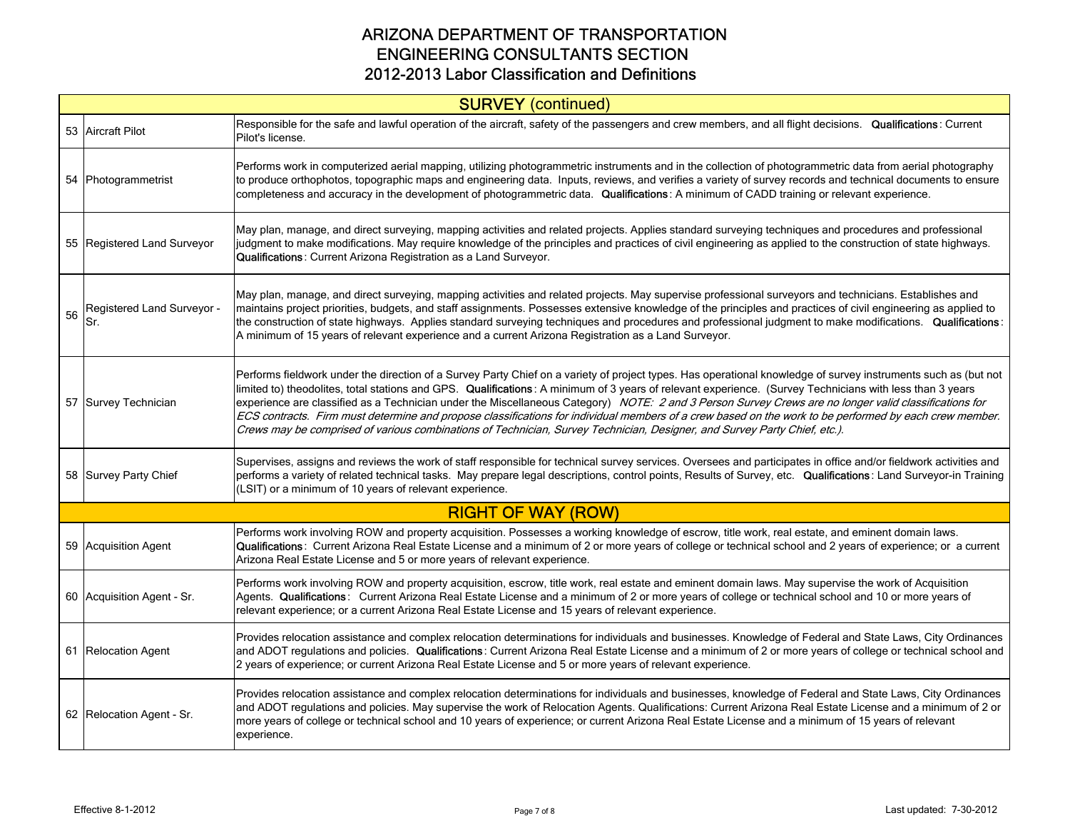|    | <b>SURVEY</b> (continued)         |                                                                                                                                                                                                                                                                                                                                                                                                                                                                                                                                                                                                                                                                                                                                                                            |  |
|----|-----------------------------------|----------------------------------------------------------------------------------------------------------------------------------------------------------------------------------------------------------------------------------------------------------------------------------------------------------------------------------------------------------------------------------------------------------------------------------------------------------------------------------------------------------------------------------------------------------------------------------------------------------------------------------------------------------------------------------------------------------------------------------------------------------------------------|--|
|    | 53 Aircraft Pilot                 | Responsible for the safe and lawful operation of the aircraft, safety of the passengers and crew members, and all flight decisions. Qualifications: Current<br>Pilot's license.                                                                                                                                                                                                                                                                                                                                                                                                                                                                                                                                                                                            |  |
|    | 54 Photogrammetrist               | Performs work in computerized aerial mapping, utilizing photogrammetric instruments and in the collection of photogrammetric data from aerial photography<br>to produce orthophotos, topographic maps and engineering data. Inputs, reviews, and verifies a variety of survey records and technical documents to ensure<br>completeness and accuracy in the development of photogrammetric data. Qualifications: A minimum of CADD training or relevant experience.                                                                                                                                                                                                                                                                                                        |  |
|    | 55 Registered Land Surveyor       | May plan, manage, and direct surveying, mapping activities and related projects. Applies standard surveying techniques and procedures and professional<br>judgment to make modifications. May require knowledge of the principles and practices of civil engineering as applied to the construction of state highways.<br>Qualifications: Current Arizona Registration as a Land Surveyor.                                                                                                                                                                                                                                                                                                                                                                                 |  |
| 56 | Registered Land Surveyor -<br>Sr. | May plan, manage, and direct surveying, mapping activities and related projects. May supervise professional surveyors and technicians. Establishes and<br>maintains project priorities, budgets, and staff assignments. Possesses extensive knowledge of the principles and practices of civil engineering as applied to<br>the construction of state highways. Applies standard surveying techniques and procedures and professional judgment to make modifications. Qualifications:<br>A minimum of 15 years of relevant experience and a current Arizona Registration as a Land Surveyor.                                                                                                                                                                               |  |
|    | 57 Survey Technician              | Performs fieldwork under the direction of a Survey Party Chief on a variety of project types. Has operational knowledge of survey instruments such as (but not<br>limited to) theodolites, total stations and GPS. Qualifications: A minimum of 3 years of relevant experience. (Survey Technicians with less than 3 years<br>experience are classified as a Technician under the Miscellaneous Category) NOTE: 2 and 3 Person Survey Crews are no longer valid classifications for<br>ECS contracts. Firm must determine and propose classifications for individual members of a crew based on the work to be performed by each crew member.<br>Crews may be comprised of various combinations of Technician, Survey Technician, Designer, and Survey Party Chief, etc.). |  |
|    | 58 Survey Party Chief             | Supervises, assigns and reviews the work of staff responsible for technical survey services. Oversees and participates in office and/or fieldwork activities and<br>performs a variety of related technical tasks. May prepare legal descriptions, control points, Results of Survey, etc. Qualifications: Land Surveyor-in Training<br>(LSIT) or a minimum of 10 years of relevant experience.                                                                                                                                                                                                                                                                                                                                                                            |  |
|    |                                   | <b>RIGHT OF WAY (ROW)</b>                                                                                                                                                                                                                                                                                                                                                                                                                                                                                                                                                                                                                                                                                                                                                  |  |
|    | 59 Acquisition Agent              | Performs work involving ROW and property acquisition. Possesses a working knowledge of escrow, title work, real estate, and eminent domain laws.<br>Qualifications: Current Arizona Real Estate License and a minimum of 2 or more years of college or technical school and 2 years of experience; or a current<br>Arizona Real Estate License and 5 or more years of relevant experience.                                                                                                                                                                                                                                                                                                                                                                                 |  |
|    | 60 Acquisition Agent - Sr.        | Performs work involving ROW and property acquisition, escrow, title work, real estate and eminent domain laws. May supervise the work of Acquisition<br>Agents. Qualifications: Current Arizona Real Estate License and a minimum of 2 or more years of college or technical school and 10 or more years of<br>relevant experience; or a current Arizona Real Estate License and 15 years of relevant experience.                                                                                                                                                                                                                                                                                                                                                          |  |
|    | 61 Relocation Agent               | Provides relocation assistance and complex relocation determinations for individuals and businesses. Knowledge of Federal and State Laws, City Ordinances<br>and ADOT regulations and policies. Qualifications: Current Arizona Real Estate License and a minimum of 2 or more years of college or technical school and<br>2 years of experience; or current Arizona Real Estate License and 5 or more years of relevant experience.                                                                                                                                                                                                                                                                                                                                       |  |
|    | 62 Relocation Agent - Sr.         | Provides relocation assistance and complex relocation determinations for individuals and businesses, knowledge of Federal and State Laws, City Ordinances<br>and ADOT regulations and policies. May supervise the work of Relocation Agents. Qualifications: Current Arizona Real Estate License and a minimum of 2 or<br>more years of college or technical school and 10 years of experience; or current Arizona Real Estate License and a minimum of 15 years of relevant<br>experience.                                                                                                                                                                                                                                                                                |  |